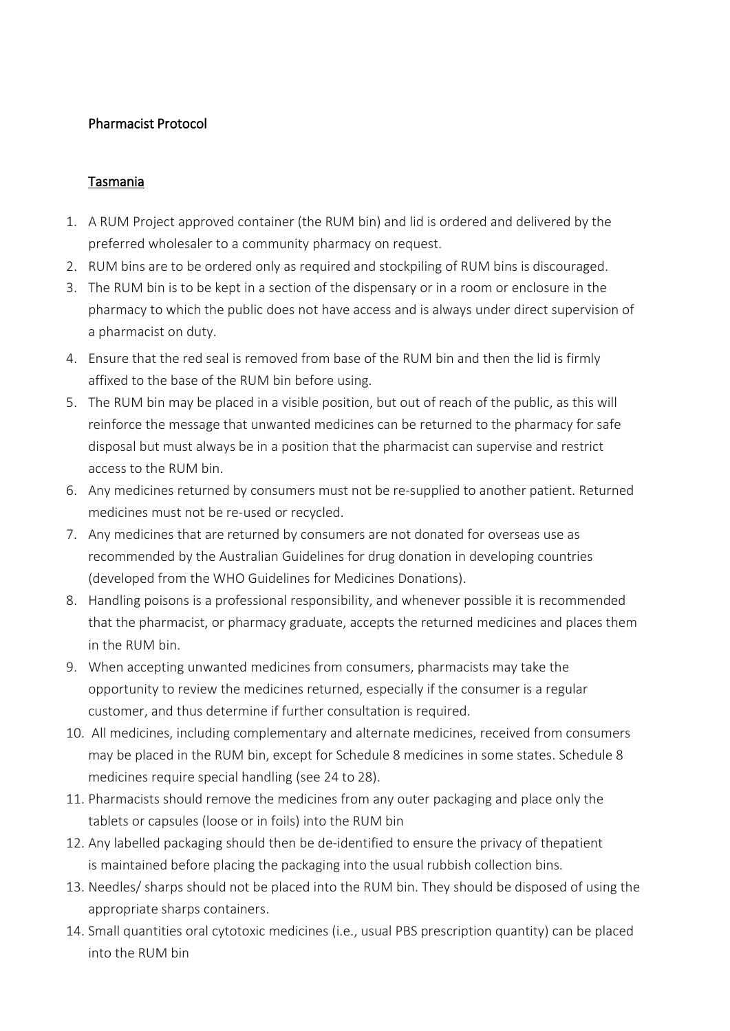## Pharmacist Protocol

## Tasmania

- 1. A RUM Project approved container (the RUM bin) and lid is ordered and delivered by the preferred wholesaler to a community pharmacy on request.
- 2. RUM bins are to be ordered only as required and stockpiling of RUM bins is discouraged.
- 3. The RUM bin is to be kept in a section of the dispensary or in a room or enclosure in the pharmacy to which the public does not have access and is always under direct supervision of a pharmacist on duty.
- 4. Ensure that the red seal is removed from base of the RUM bin and then the lid is firmly affixed to the base of the RUM bin before using.
- 5. The RUM bin may be placed in a visible position, but out of reach of the public, as this will reinforce the message that unwanted medicines can be returned to the pharmacy for safe disposal but must always be in a position that the pharmacist can supervise and restrict access to the RUM bin.
- 6. Any medicines returned by consumers must not be re-supplied to another patient. Returned medicines must not be re-used or recycled.
- 7. Any medicines that are returned by consumers are not donated for overseas use as recommended by the Australian Guidelines for drug donation in developing countries (developed from the WHO Guidelines for Medicines Donations).
- 8. Handling poisons is a professional responsibility, and whenever possible it is recommended that the pharmacist, or pharmacy graduate, accepts the returned medicines and places them in the RUM bin.
- 9. When accepting unwanted medicines from consumers, pharmacists may take the opportunity to review the medicines returned, especially if the consumer is a regular customer, and thus determine if further consultation is required.
- 10. All medicines, including complementary and alternate medicines, received from consumers may be placed in the RUM bin, except for Schedule 8 medicines in some states. Schedule 8 medicines require special handling (see 24 to 28).
- 11. Pharmacists should remove the medicines from any outer packaging and place only the tablets or capsules (loose or in foils) into the RUM bin
- 12. Any labelled packaging should then be de-identified to ensure the privacy of thepatient is maintained before placing the packaging into the usual rubbish collection bins.
- 13. Needles/ sharps should not be placed into the RUM bin. They should be disposed of using the appropriate sharps containers.
- 14. Small quantities oral cytotoxic medicines (i.e., usual PBS prescription quantity) can be placed into the RUM bin